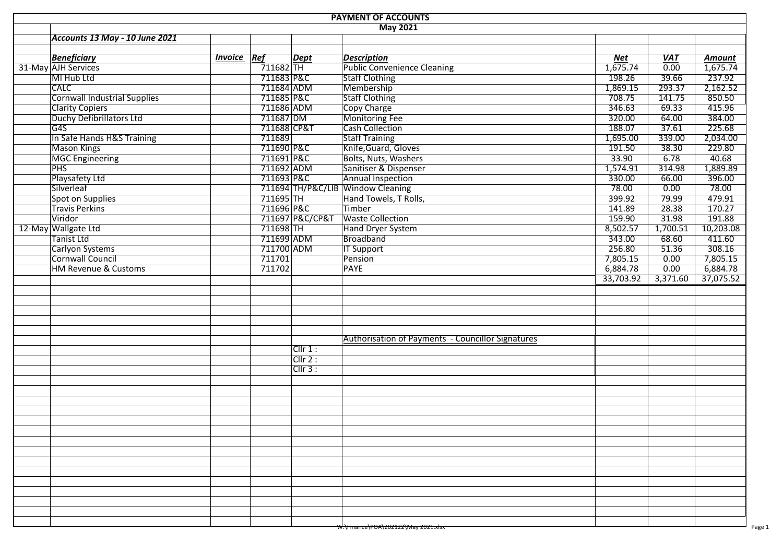| <b>PAYMENT OF ACCOUNTS</b>      |                    |                        |                 |                                                   |           |                   |                    |  |  |  |  |  |
|---------------------------------|--------------------|------------------------|-----------------|---------------------------------------------------|-----------|-------------------|--------------------|--|--|--|--|--|
| Accounts 13 May - 10 June 2021  |                    |                        |                 | <b>May 2021</b>                                   |           |                   |                    |  |  |  |  |  |
|                                 |                    |                        |                 |                                                   |           |                   |                    |  |  |  |  |  |
| <b>Beneficiary</b>              | <b>Invoice Ref</b> |                        | <b>Dept</b>     | <b>Description</b>                                | Net       | <b>VAT</b>        | Amount             |  |  |  |  |  |
| 31-May AJH Services             |                    | $\frac{1}{7}$ 11682 TH |                 | <b>Public Convenience Cleaning</b>                | 1,675.74  | $\overline{0.00}$ | $\frac{1}{675.74}$ |  |  |  |  |  |
| MI Hub Ltd                      |                    | 711683 P&C             |                 | <b>Staff Clothing</b>                             | 198.26    | 39.66             | 237.92             |  |  |  |  |  |
| <b>CALC</b>                     |                    | 711684 ADM             |                 | Membership                                        | 1,869.15  | 293.37            | 2,162.52           |  |  |  |  |  |
| Cornwall Industrial Supplies    |                    | 711685 P&C             |                 | <b>Staff Clothing</b>                             | 708.75    | 141.75            | 850.50             |  |  |  |  |  |
| <b>Clarity Copiers</b>          |                    | 711686 ADM             |                 | Copy Charge                                       | 346.63    | 69.33             | 415.96             |  |  |  |  |  |
| Duchy Defibrillators Ltd        |                    | 711687 DM              |                 | Monitoring Fee                                    | 320.00    | 64.00             | 384.00             |  |  |  |  |  |
| G4S                             |                    | 711688 CP&T            |                 | <b>Cash Collection</b>                            | 188.07    | 37.61             | 225.68             |  |  |  |  |  |
| In Safe Hands H&S Training      |                    | 711689                 |                 | <b>Staff Training</b>                             | 1,695.00  | 339.00            | 2,034.00           |  |  |  |  |  |
| Mason Kings                     |                    | 711690 P&C             |                 | Knife, Guard, Gloves                              | 191.50    | 38.30             | 229.80             |  |  |  |  |  |
| MGC Engineering                 |                    | 711691 P&C             |                 | <b>Bolts, Nuts, Washers</b>                       | 33.90     | 6.78              | 40.68              |  |  |  |  |  |
| <b>PHS</b>                      |                    | 711692 ADM             |                 | Sanitiser & Dispenser                             | 1,574.91  | 314.98            | 1,889.89           |  |  |  |  |  |
| Playsafety Ltd                  |                    | 711693 P&C             |                 | Annual Inspection                                 | 330.00    | 66.00             | 396.00             |  |  |  |  |  |
| Silverleaf                      |                    |                        |                 | 711694 TH/P&C/LIB Window Cleaning                 | 78.00     | 0.00              | 78.00              |  |  |  |  |  |
| Spot on Supplies                |                    | 711695 TH              |                 | Hand Towels, T Rolls,                             | 399.92    | 79.99             | 479.91             |  |  |  |  |  |
| <b>Travis Perkins</b>           |                    | 711696 P&C             |                 | Timber                                            | 141.89    | 28.38             | 170.27             |  |  |  |  |  |
| Viridor                         |                    |                        | 711697 P&C/CP&T | <b>Waste Collection</b>                           | 159.90    | 31.98             | 191.88             |  |  |  |  |  |
| 12-May Wallgate Ltd             |                    | $711698$ TH            |                 | Hand Dryer System                                 | 8,502.57  | 1,700.51          | 10,203.08          |  |  |  |  |  |
| Tanist Ltd                      |                    | 711699 ADM             |                 | Broadband                                         | 343.00    | 68.60             | 411.60             |  |  |  |  |  |
| <b>Carlyon Systems</b>          |                    | 711700 ADM             |                 | <b>IT Support</b>                                 | 256.80    | 51.36             | 308.16             |  |  |  |  |  |
| Cornwall Council                |                    | 711701                 |                 | Pension                                           | 7,805.15  | 0.00              | 7,805.15           |  |  |  |  |  |
| <b>HM Revenue &amp; Customs</b> |                    | 711702                 |                 | <b>PAYE</b>                                       | 6,884.78  | 0.00              | 6,884.78           |  |  |  |  |  |
|                                 |                    |                        |                 |                                                   | 33,703.92 | 3,371.60          | 37,075.52          |  |  |  |  |  |
|                                 |                    |                        |                 |                                                   |           |                   |                    |  |  |  |  |  |
|                                 |                    |                        |                 |                                                   |           |                   |                    |  |  |  |  |  |
|                                 |                    |                        |                 |                                                   |           |                   |                    |  |  |  |  |  |
|                                 |                    |                        |                 |                                                   |           |                   |                    |  |  |  |  |  |
|                                 |                    |                        |                 |                                                   |           |                   |                    |  |  |  |  |  |
|                                 |                    |                        |                 | Authorisation of Payments - Councillor Signatures |           |                   |                    |  |  |  |  |  |
|                                 |                    |                        | Cllr 1:         |                                                   |           |                   |                    |  |  |  |  |  |
|                                 |                    |                        | Clir 2:         |                                                   |           |                   |                    |  |  |  |  |  |
|                                 |                    |                        | ClIr 3:         |                                                   |           |                   |                    |  |  |  |  |  |
|                                 |                    |                        |                 |                                                   |           |                   |                    |  |  |  |  |  |
|                                 |                    |                        |                 |                                                   |           |                   |                    |  |  |  |  |  |
|                                 |                    |                        |                 |                                                   |           |                   |                    |  |  |  |  |  |
|                                 |                    |                        |                 |                                                   |           |                   |                    |  |  |  |  |  |
|                                 |                    |                        |                 |                                                   |           |                   |                    |  |  |  |  |  |
|                                 |                    |                        |                 |                                                   |           |                   |                    |  |  |  |  |  |
|                                 |                    |                        |                 |                                                   |           |                   |                    |  |  |  |  |  |
|                                 |                    |                        |                 |                                                   |           |                   |                    |  |  |  |  |  |
|                                 |                    |                        |                 |                                                   |           |                   |                    |  |  |  |  |  |
|                                 |                    |                        |                 |                                                   |           |                   |                    |  |  |  |  |  |
|                                 |                    |                        |                 |                                                   |           |                   |                    |  |  |  |  |  |
|                                 |                    |                        |                 |                                                   |           |                   |                    |  |  |  |  |  |
|                                 |                    |                        |                 |                                                   |           |                   |                    |  |  |  |  |  |
|                                 |                    |                        |                 |                                                   |           |                   |                    |  |  |  |  |  |
|                                 |                    |                        |                 |                                                   |           |                   |                    |  |  |  |  |  |
|                                 |                    |                        |                 | <del>W:\Finance\POA\202122\May 2021.xisx</del>    |           |                   |                    |  |  |  |  |  |